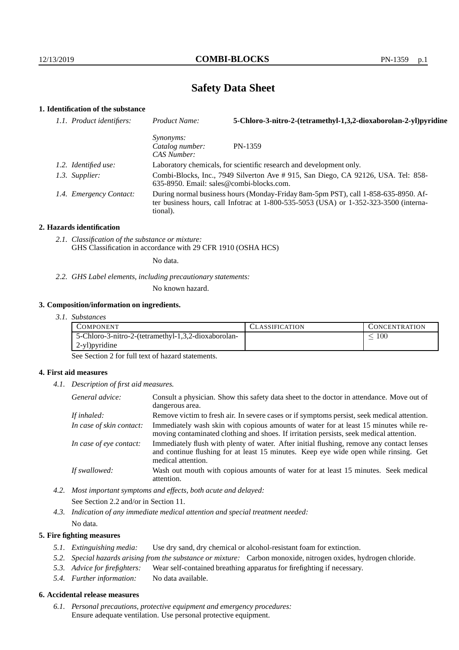# **Safety Data Sheet**

## **1. Identification of the substance**

| 1.1. Product identifiers: | Product Name:                                                                                                                                                                           | 5-Chloro-3-nitro-2-(tetramethyl-1,3,2-dioxaborolan-2-yl)pyridine |  |
|---------------------------|-----------------------------------------------------------------------------------------------------------------------------------------------------------------------------------------|------------------------------------------------------------------|--|
|                           | <i>Synonyms:</i><br>Catalog number:<br>CAS Number:                                                                                                                                      | PN-1359                                                          |  |
| 1.2. Identified use:      | Laboratory chemicals, for scientific research and development only.                                                                                                                     |                                                                  |  |
| 1.3. Supplier:            | Combi-Blocks, Inc., 7949 Silverton Ave # 915, San Diego, CA 92126, USA. Tel: 858-<br>$635-8950$ . Email: sales@combi-blocks.com.                                                        |                                                                  |  |
| 1.4. Emergency Contact:   | During normal business hours (Monday-Friday 8am-5pm PST), call 1-858-635-8950. Af-<br>ter business hours, call Infotrac at 1-800-535-5053 (USA) or 1-352-323-3500 (interna-<br>tional). |                                                                  |  |

#### **2. Hazards identification**

*2.1. Classification of the substance or mixture:* GHS Classification in accordance with 29 CFR 1910 (OSHA HCS)

No data.

*2.2. GHS Label elements, including precautionary statements:*

No known hazard.

#### **3. Composition/information on ingredients.**

*3.1. Substances*

| COMPONENT                                           | ULASSIFICATION | <b>CONCENTRATION</b> |
|-----------------------------------------------------|----------------|----------------------|
| 5-Chloro-3-nitro-2-(tetramethyl-1,3,2-dioxaborolan- |                | 100                  |
| 2-yl) pyridine                                      |                |                      |

See Section 2 for full text of hazard statements.

#### **4. First aid measures**

*4.1. Description of first aid measures.*

| General advice:          | Consult a physician. Show this safety data sheet to the doctor in attendance. Move out of<br>dangerous area.                                                                                            |
|--------------------------|---------------------------------------------------------------------------------------------------------------------------------------------------------------------------------------------------------|
| If inhaled:              | Remove victim to fresh air. In severe cases or if symptoms persist, seek medical attention.                                                                                                             |
| In case of skin contact: | Immediately wash skin with copious amounts of water for at least 15 minutes while re-<br>moving contaminated clothing and shoes. If irritation persists, seek medical attention.                        |
| In case of eye contact:  | Immediately flush with plenty of water. After initial flushing, remove any contact lenses<br>and continue flushing for at least 15 minutes. Keep eye wide open while rinsing. Get<br>medical attention. |
| If swallowed:            | Wash out mouth with copious amounts of water for at least 15 minutes. Seek medical<br>attention.                                                                                                        |

- *4.2. Most important symptoms and effects, both acute and delayed:* See Section 2.2 and/or in Section 11.
- *4.3. Indication of any immediate medical attention and special treatment needed:* No data.

#### **5. Fire fighting measures**

- *5.1. Extinguishing media:* Use dry sand, dry chemical or alcohol-resistant foam for extinction.
- *5.2. Special hazards arising from the substance or mixture:* Carbon monoxide, nitrogen oxides, hydrogen chloride.
- *5.3. Advice for firefighters:* Wear self-contained breathing apparatus for firefighting if necessary.
- *5.4. Further information:* No data available.

### **6. Accidental release measures**

*6.1. Personal precautions, protective equipment and emergency procedures:* Ensure adequate ventilation. Use personal protective equipment.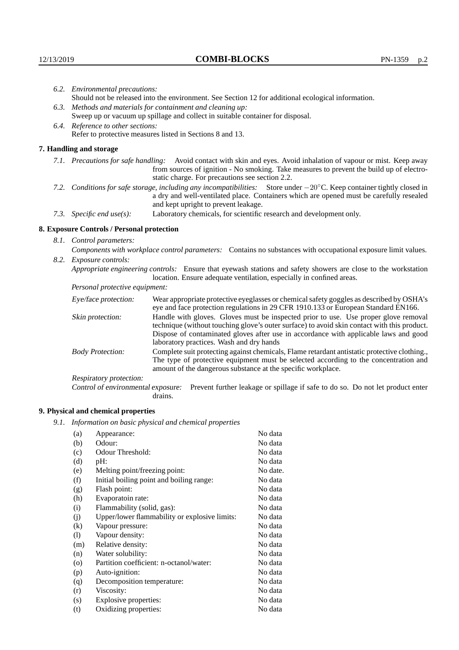|                                                                                | 6.2. Environmental precautions:                                                                                                                                                                                                                                     |                                                                                                                                                                                    |  |  |  |
|--------------------------------------------------------------------------------|---------------------------------------------------------------------------------------------------------------------------------------------------------------------------------------------------------------------------------------------------------------------|------------------------------------------------------------------------------------------------------------------------------------------------------------------------------------|--|--|--|
|                                                                                | Should not be released into the environment. See Section 12 for additional ecological information.                                                                                                                                                                  |                                                                                                                                                                                    |  |  |  |
|                                                                                | 6.3. Methods and materials for containment and cleaning up:                                                                                                                                                                                                         |                                                                                                                                                                                    |  |  |  |
| Sweep up or vacuum up spillage and collect in suitable container for disposal. |                                                                                                                                                                                                                                                                     |                                                                                                                                                                                    |  |  |  |
|                                                                                | 6.4. Reference to other sections:                                                                                                                                                                                                                                   |                                                                                                                                                                                    |  |  |  |
|                                                                                | Refer to protective measures listed in Sections 8 and 13.                                                                                                                                                                                                           |                                                                                                                                                                                    |  |  |  |
|                                                                                | 7. Handling and storage                                                                                                                                                                                                                                             |                                                                                                                                                                                    |  |  |  |
|                                                                                | 7.1. Precautions for safe handling: Avoid contact with skin and eyes. Avoid inhalation of vapour or mist. Keep away<br>from sources of ignition - No smoking. Take measures to prevent the build up of electro-<br>static charge. For precautions see section 2.2.  |                                                                                                                                                                                    |  |  |  |
|                                                                                | 7.2. Conditions for safe storage, including any incompatibilities: Store under $-20^{\circ}$ C. Keep container tightly closed in<br>a dry and well-ventilated place. Containers which are opened must be carefully resealed<br>and kept upright to prevent leakage. |                                                                                                                                                                                    |  |  |  |
|                                                                                | 7.3. Specific end use(s):                                                                                                                                                                                                                                           | Laboratory chemicals, for scientific research and development only.                                                                                                                |  |  |  |
|                                                                                | 8. Exposure Controls / Personal protection                                                                                                                                                                                                                          |                                                                                                                                                                                    |  |  |  |
|                                                                                | 8.1. Control parameters:                                                                                                                                                                                                                                            |                                                                                                                                                                                    |  |  |  |
|                                                                                | Components with workplace control parameters: Contains no substances with occupational exposure limit values.                                                                                                                                                       |                                                                                                                                                                                    |  |  |  |
|                                                                                | 8.2. Exposure controls:                                                                                                                                                                                                                                             |                                                                                                                                                                                    |  |  |  |
|                                                                                | Appropriate engineering controls: Ensure that eyewash stations and safety showers are close to the workstation<br>location. Ensure adequate ventilation, especially in confined areas.                                                                              |                                                                                                                                                                                    |  |  |  |
|                                                                                | Personal protective equipment:                                                                                                                                                                                                                                      |                                                                                                                                                                                    |  |  |  |
|                                                                                | Eye/face protection:                                                                                                                                                                                                                                                | Wear appropriate protective eyeglasses or chemical safety goggles as described by OSHA's<br>eye and face protection regulations in 29 CFR 1910.133 or European Standard EN166.     |  |  |  |
|                                                                                | Skin protection:                                                                                                                                                                                                                                                    | Handle with gloves. Gloves must be inspected prior to use. Use proper glove removal<br>technique (without touching glove's outer surface) to avoid skin contact with this product. |  |  |  |

### **8. Exposure Controls / Personal protection**

| Eye/face protection:<br>Wear appropriate protective eyeglasses or chemical safety goggles as described by OSHA's<br>eye and face protection regulations in 29 CFR 1910.133 or European Standard EN166. |                                                                                                                                                                                                                                                                                                                        |  |  |
|--------------------------------------------------------------------------------------------------------------------------------------------------------------------------------------------------------|------------------------------------------------------------------------------------------------------------------------------------------------------------------------------------------------------------------------------------------------------------------------------------------------------------------------|--|--|
| Skin protection:                                                                                                                                                                                       | Handle with gloves. Gloves must be inspected prior to use. Use proper glove removal<br>technique (without touching glove's outer surface) to avoid skin contact with this product.<br>Dispose of contaminated gloves after use in accordance with applicable laws and good<br>laboratory practices. Wash and dry hands |  |  |
| <b>Body Protection:</b>                                                                                                                                                                                | Complete suit protecting against chemicals, Flame retardant antistatic protective clothing.,<br>The type of protective equipment must be selected according to the concentration and<br>amount of the dangerous substance at the specific workplace.                                                                   |  |  |
| <b>Respiratory protection:</b>                                                                                                                                                                         |                                                                                                                                                                                                                                                                                                                        |  |  |
| Control of environmental exposure:                                                                                                                                                                     | Prevent further leakage or spillage if safe to do so. Do not let product enter<br>drains.                                                                                                                                                                                                                              |  |  |

## **9. Physical and chemical properties**

*9.1. Information on basic physical and chemical properties*

| (a)      | Appearance:                                   | No data  |
|----------|-----------------------------------------------|----------|
| (b)      | Odour:                                        | No data  |
| (c)      | Odour Threshold:                              | No data  |
| (d)      | pH:                                           | No data  |
| (e)      | Melting point/freezing point:                 | No date. |
| (f)      | Initial boiling point and boiling range:      | No data  |
| (g)      | Flash point:                                  | No data  |
| (h)      | Evaporatoin rate:                             | No data  |
| (i)      | Flammability (solid, gas):                    | No data  |
| (j)      | Upper/lower flammability or explosive limits: | No data  |
| $\rm(k)$ | Vapour pressure:                              | No data  |
| (1)      | Vapour density:                               | No data  |
| (m)      | Relative density:                             | No data  |
| (n)      | Water solubility:                             | No data  |
| $\circ$  | Partition coefficient: n-octanol/water:       | No data  |
| (p)      | Auto-ignition:                                | No data  |
| (q)      | Decomposition temperature:                    | No data  |
| (r)      | Viscosity:                                    | No data  |
| (s)      | Explosive properties:                         | No data  |
| (t)      | Oxidizing properties:                         | No data  |